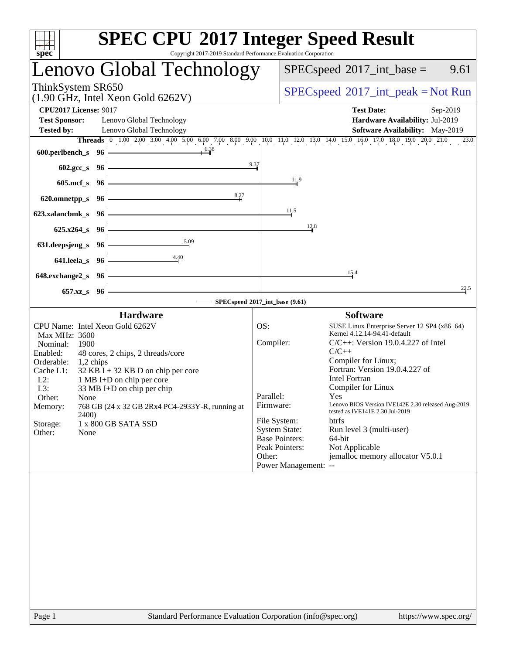| spec <sup>®</sup>                                                                                                                                                                                                                                                                                                                                                                                                                                    | <b>SPEC CPU®2017 Integer Speed Result</b><br>Copyright 2017-2019 Standard Performance Evaluation Corporation                                                                                                                                                                                                                                                                                                                                                                                                                                                                                                                              |
|------------------------------------------------------------------------------------------------------------------------------------------------------------------------------------------------------------------------------------------------------------------------------------------------------------------------------------------------------------------------------------------------------------------------------------------------------|-------------------------------------------------------------------------------------------------------------------------------------------------------------------------------------------------------------------------------------------------------------------------------------------------------------------------------------------------------------------------------------------------------------------------------------------------------------------------------------------------------------------------------------------------------------------------------------------------------------------------------------------|
| Lenovo Global Technology                                                                                                                                                                                                                                                                                                                                                                                                                             | $SPEC speed^{\circ}2017\_int\_base =$<br>9.61                                                                                                                                                                                                                                                                                                                                                                                                                                                                                                                                                                                             |
| ThinkSystem SR650<br>$(1.90 \text{ GHz}, \text{Intel Xeon Gold } 6262 \text{V})$                                                                                                                                                                                                                                                                                                                                                                     | $SPEC speed^{\circ}2017\_int\_peak = Not Run$                                                                                                                                                                                                                                                                                                                                                                                                                                                                                                                                                                                             |
| <b>CPU2017 License: 9017</b><br><b>Test Sponsor:</b><br>Lenovo Global Technology<br><b>Tested by:</b><br>Lenovo Global Technology                                                                                                                                                                                                                                                                                                                    | <b>Test Date:</b><br>Sep-2019<br>Hardware Availability: Jul-2019<br>Software Availability: May-2019                                                                                                                                                                                                                                                                                                                                                                                                                                                                                                                                       |
| 6.38<br>600.perlbench_s 96                                                                                                                                                                                                                                                                                                                                                                                                                           | Threads 0 1.00 2.00 3.00 4.00 5.00 6.00 7.00 8.00 9.00 10.0 11.0 12.0 13.0 14.0 15.0 16.0 17.0 18.0 19.0 20.0 21.0 23.0                                                                                                                                                                                                                                                                                                                                                                                                                                                                                                                   |
| 602.gcc_s 96                                                                                                                                                                                                                                                                                                                                                                                                                                         | 9.37                                                                                                                                                                                                                                                                                                                                                                                                                                                                                                                                                                                                                                      |
| 605.mcf $s$ 96                                                                                                                                                                                                                                                                                                                                                                                                                                       | $\frac{11.9}{4}$                                                                                                                                                                                                                                                                                                                                                                                                                                                                                                                                                                                                                          |
| 8,27<br>620.omnetpp_s $96$                                                                                                                                                                                                                                                                                                                                                                                                                           |                                                                                                                                                                                                                                                                                                                                                                                                                                                                                                                                                                                                                                           |
| 623.xalancbmk_s 96                                                                                                                                                                                                                                                                                                                                                                                                                                   | 11.5                                                                                                                                                                                                                                                                                                                                                                                                                                                                                                                                                                                                                                      |
| $625.x264_s$ 96                                                                                                                                                                                                                                                                                                                                                                                                                                      | 12.8                                                                                                                                                                                                                                                                                                                                                                                                                                                                                                                                                                                                                                      |
| 5.09<br>631.deepsjeng_s 96                                                                                                                                                                                                                                                                                                                                                                                                                           |                                                                                                                                                                                                                                                                                                                                                                                                                                                                                                                                                                                                                                           |
| $\frac{4.40}{4}$<br>641.leela_s 96                                                                                                                                                                                                                                                                                                                                                                                                                   |                                                                                                                                                                                                                                                                                                                                                                                                                                                                                                                                                                                                                                           |
| $648$ .exchange $2$ <sub>_S</sub> 96                                                                                                                                                                                                                                                                                                                                                                                                                 | 15.4                                                                                                                                                                                                                                                                                                                                                                                                                                                                                                                                                                                                                                      |
| 657.xz_s 96                                                                                                                                                                                                                                                                                                                                                                                                                                          | 22.5                                                                                                                                                                                                                                                                                                                                                                                                                                                                                                                                                                                                                                      |
|                                                                                                                                                                                                                                                                                                                                                                                                                                                      | SPECspeed®2017_int_base (9.61)                                                                                                                                                                                                                                                                                                                                                                                                                                                                                                                                                                                                            |
| <b>Hardware</b><br>CPU Name: Intel Xeon Gold 6262V<br>Max MHz: 3600<br>Nominal:<br>1900<br>Enabled:<br>48 cores, 2 chips, 2 threads/core<br>Orderable:<br>$1,2$ chips<br>Cache L1:<br>$32$ KB I + 32 KB D on chip per core<br>$L2$ :<br>1 MB I+D on chip per core<br>L3:<br>33 MB I+D on chip per chip<br>Other:<br>None<br>768 GB (24 x 32 GB 2Rx4 PC4-2933Y-R, running at<br>Memory:<br>2400)<br>Storage:<br>1 x 800 GB SATA SSD<br>Other:<br>None | <b>Software</b><br>OS:<br>SUSE Linux Enterprise Server 12 SP4 (x86_64)<br>Kernel 4.12.14-94.41-default<br>Compiler:<br>$C/C++$ : Version 19.0.4.227 of Intel<br>$C/C++$<br>Compiler for Linux;<br>Fortran: Version 19.0.4.227 of<br><b>Intel Fortran</b><br>Compiler for Linux<br>Parallel:<br>Yes<br>Lenovo BIOS Version IVE142E 2.30 released Aug-2019<br>Firmware:<br>tested as IVE141E 2.30 Jul-2019<br>File System:<br><b>btrfs</b><br><b>System State:</b><br>Run level 3 (multi-user)<br><b>Base Pointers:</b><br>64-bit<br>Peak Pointers:<br>Not Applicable<br>jemalloc memory allocator V5.0.1<br>Other:<br>Power Management: -- |
|                                                                                                                                                                                                                                                                                                                                                                                                                                                      |                                                                                                                                                                                                                                                                                                                                                                                                                                                                                                                                                                                                                                           |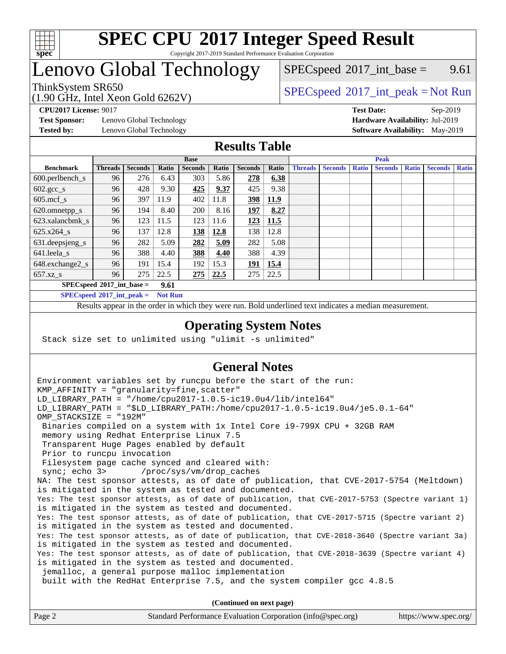

#### **[SPEC CPU](http://www.spec.org/auto/cpu2017/Docs/result-fields.html#SPECCPU2017IntegerSpeedResult)[2017 Integer Speed Result](http://www.spec.org/auto/cpu2017/Docs/result-fields.html#SPECCPU2017IntegerSpeedResult)** Copyright 2017-2019 Standard Performance Evaluation Corporation

## Lenovo Global Technology

 $SPECspeed^{\circ}2017\_int\_base =$  $SPECspeed^{\circ}2017\_int\_base =$  9.61

## ThinkSystem SR650<br>  $\begin{array}{c}\n\text{SPEC speed} \text{°2017\_int\_peak} = \text{Not Run} \\
\text{SPEC speed} \text{°2017\_int\_peak} = \text{Not Run} \\
\end{array}$

**[Test Sponsor:](http://www.spec.org/auto/cpu2017/Docs/result-fields.html#TestSponsor)** Lenovo Global Technology **[Hardware Availability:](http://www.spec.org/auto/cpu2017/Docs/result-fields.html#HardwareAvailability)** Jul-2019

(1.90 GHz, Intel Xeon Gold 6262V)

**[CPU2017 License:](http://www.spec.org/auto/cpu2017/Docs/result-fields.html#CPU2017License)** 9017 **[Test Date:](http://www.spec.org/auto/cpu2017/Docs/result-fields.html#TestDate)** Sep-2019 **[Tested by:](http://www.spec.org/auto/cpu2017/Docs/result-fields.html#Testedby)** Lenovo Global Technology **[Software Availability:](http://www.spec.org/auto/cpu2017/Docs/result-fields.html#SoftwareAvailability)** May-2019

#### **[Results Table](http://www.spec.org/auto/cpu2017/Docs/result-fields.html#ResultsTable)**

|                                            | <b>Base</b>    |                |       |                | <b>Peak</b> |                |       |                |                |              |                |              |                |              |
|--------------------------------------------|----------------|----------------|-------|----------------|-------------|----------------|-------|----------------|----------------|--------------|----------------|--------------|----------------|--------------|
| <b>Benchmark</b>                           | <b>Threads</b> | <b>Seconds</b> | Ratio | <b>Seconds</b> | Ratio       | <b>Seconds</b> | Ratio | <b>Threads</b> | <b>Seconds</b> | <b>Ratio</b> | <b>Seconds</b> | <b>Ratio</b> | <b>Seconds</b> | <b>Ratio</b> |
| $600.$ perlbench $\mathsf{S}$              | 96             | 276            | 6.43  | 303            | 5.86        | 278            | 6.38  |                |                |              |                |              |                |              |
| $602 \text{.} \text{gcc}\text{_<}$ s       | 96             | 428            | 9.30  | 425            | 9.37        | 425            | 9.38  |                |                |              |                |              |                |              |
| $605$ .mcf s                               | 96             | 397            | 11.9  | 402            | 11.8        | 398            | 11.9  |                |                |              |                |              |                |              |
| 620.omnetpp_s                              | 96             | 194            | 8.40  | 200            | 8.16        | <b>197</b>     | 8.27  |                |                |              |                |              |                |              |
| 623.xalancbmk s                            | 96             | 123            | 11.5  | 123            | 11.6        | 123            | 11.5  |                |                |              |                |              |                |              |
| $625.x264_s$                               | 96             | 137            | 12.8  | <u> 138</u>    | 12.8        | 138            | 12.8  |                |                |              |                |              |                |              |
| 631.deepsjeng_s                            | 96             | 282            | 5.09  | 282            | 5.09        | 282            | 5.08  |                |                |              |                |              |                |              |
| $641$ .leela_s                             | 96             | 388            | 4.40  | 388            | 4.40        | 388            | 4.39  |                |                |              |                |              |                |              |
| 648.exchange2_s                            | 96             | 191            | 15.4  | 192            | 15.3        | 191            | 15.4  |                |                |              |                |              |                |              |
| $657.xz$ s                                 | 96             | 275            | 22.5  | 275            | 22.5        | 275            | 22.5  |                |                |              |                |              |                |              |
| $SPECspeed^{\circ}2017$ int base =<br>9.61 |                |                |       |                |             |                |       |                |                |              |                |              |                |              |

**[SPECspeed](http://www.spec.org/auto/cpu2017/Docs/result-fields.html#SPECspeed2017intpeak)[2017\\_int\\_peak =](http://www.spec.org/auto/cpu2017/Docs/result-fields.html#SPECspeed2017intpeak) Not Run**

Results appear in the [order in which they were run.](http://www.spec.org/auto/cpu2017/Docs/result-fields.html#RunOrder) Bold underlined text [indicates a median measurement.](http://www.spec.org/auto/cpu2017/Docs/result-fields.html#Median)

#### **[Operating System Notes](http://www.spec.org/auto/cpu2017/Docs/result-fields.html#OperatingSystemNotes)**

Stack size set to unlimited using "ulimit -s unlimited"

### **[General Notes](http://www.spec.org/auto/cpu2017/Docs/result-fields.html#GeneralNotes)**

Environment variables set by runcpu before the start of the run: KMP AFFINITY = "granularity=fine, scatter" LD\_LIBRARY\_PATH = "/home/cpu2017-1.0.5-ic19.0u4/lib/intel64" LD\_LIBRARY\_PATH = "\$LD\_LIBRARY\_PATH:/home/cpu2017-1.0.5-ic19.0u4/je5.0.1-64" OMP\_STACKSIZE = "192M" Binaries compiled on a system with 1x Intel Core i9-799X CPU + 32GB RAM memory using Redhat Enterprise Linux 7.5 Transparent Huge Pages enabled by default Prior to runcpu invocation Filesystem page cache synced and cleared with: sync; echo 3> /proc/sys/vm/drop\_caches NA: The test sponsor attests, as of date of publication, that CVE-2017-5754 (Meltdown) is mitigated in the system as tested and documented. Yes: The test sponsor attests, as of date of publication, that CVE-2017-5753 (Spectre variant 1) is mitigated in the system as tested and documented. Yes: The test sponsor attests, as of date of publication, that CVE-2017-5715 (Spectre variant 2) is mitigated in the system as tested and documented. Yes: The test sponsor attests, as of date of publication, that CVE-2018-3640 (Spectre variant 3a) is mitigated in the system as tested and documented. Yes: The test sponsor attests, as of date of publication, that CVE-2018-3639 (Spectre variant 4) is mitigated in the system as tested and documented. jemalloc, a general purpose malloc implementation built with the RedHat Enterprise 7.5, and the system compiler gcc 4.8.5 **(Continued on next page)**

| Page 2 | Standard Performance Evaluation Corporation (info@spec.org) | https://www.spec.org/ |
|--------|-------------------------------------------------------------|-----------------------|
|        |                                                             |                       |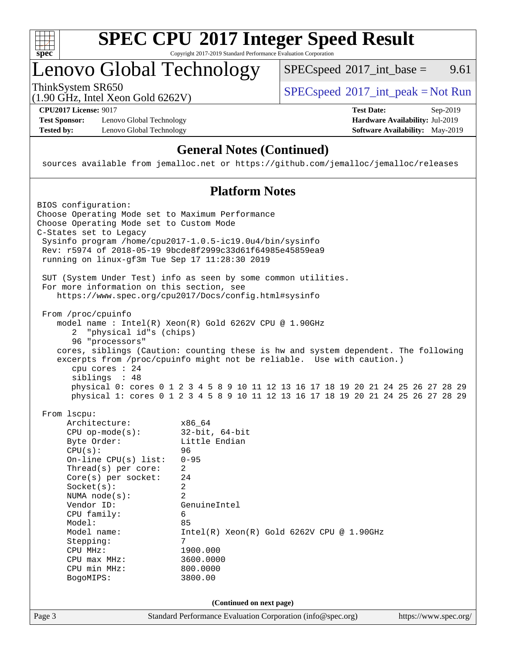

#### **[SPEC CPU](http://www.spec.org/auto/cpu2017/Docs/result-fields.html#SPECCPU2017IntegerSpeedResult)[2017 Integer Speed Result](http://www.spec.org/auto/cpu2017/Docs/result-fields.html#SPECCPU2017IntegerSpeedResult)** Copyright 2017-2019 Standard Performance Evaluation Corporation

## Lenovo Global Technology

 $SPECspeed^{\circ}2017\_int\_base =$  $SPECspeed^{\circ}2017\_int\_base =$  9.61

(1.90 GHz, Intel Xeon Gold 6262V)

**[CPU2017 License:](http://www.spec.org/auto/cpu2017/Docs/result-fields.html#CPU2017License)** 9017 **[Test Date:](http://www.spec.org/auto/cpu2017/Docs/result-fields.html#TestDate)** Sep-2019

**[Test Sponsor:](http://www.spec.org/auto/cpu2017/Docs/result-fields.html#TestSponsor)** Lenovo Global Technology **[Hardware Availability:](http://www.spec.org/auto/cpu2017/Docs/result-fields.html#HardwareAvailability)** Jul-2019 **[Tested by:](http://www.spec.org/auto/cpu2017/Docs/result-fields.html#Testedby)** Lenovo Global Technology **[Software Availability:](http://www.spec.org/auto/cpu2017/Docs/result-fields.html#SoftwareAvailability)** May-2019

ThinkSystem SR650<br>  $\begin{array}{c}\n\text{SPEC speed} \text{°2017\_int\_peak} = \text{Not Run} \\
\text{SPEC speed} \text{°2017\_int\_peak} = \text{Not Run} \\
\end{array}$ 

### **[General Notes \(Continued\)](http://www.spec.org/auto/cpu2017/Docs/result-fields.html#GeneralNotes)**

sources available from jemalloc.net or <https://github.com/jemalloc/jemalloc/releases>

#### **[Platform Notes](http://www.spec.org/auto/cpu2017/Docs/result-fields.html#PlatformNotes)**

Page 3 Standard Performance Evaluation Corporation [\(info@spec.org\)](mailto:info@spec.org) <https://www.spec.org/> BIOS configuration: Choose Operating Mode set to Maximum Performance Choose Operating Mode set to Custom Mode C-States set to Legacy Sysinfo program /home/cpu2017-1.0.5-ic19.0u4/bin/sysinfo Rev: r5974 of 2018-05-19 9bcde8f2999c33d61f64985e45859ea9 running on linux-gf3m Tue Sep 17 11:28:30 2019 SUT (System Under Test) info as seen by some common utilities. For more information on this section, see <https://www.spec.org/cpu2017/Docs/config.html#sysinfo> From /proc/cpuinfo model name : Intel(R) Xeon(R) Gold 6262V CPU @ 1.90GHz 2 "physical id"s (chips) 96 "processors" cores, siblings (Caution: counting these is hw and system dependent. The following excerpts from /proc/cpuinfo might not be reliable. Use with caution.) cpu cores : 24 siblings : 48 physical 0: cores 0 1 2 3 4 5 8 9 10 11 12 13 16 17 18 19 20 21 24 25 26 27 28 29 physical 1: cores 0 1 2 3 4 5 8 9 10 11 12 13 16 17 18 19 20 21 24 25 26 27 28 29 From lscpu: Architecture: x86\_64 CPU op-mode(s): 32-bit, 64-bit Byte Order: Little Endian CPU(s): 96 On-line CPU(s) list: 0-95 Thread(s) per core: 2 Core(s) per socket: 24 Socket(s): 2 NUMA node(s): 2 Vendor ID: GenuineIntel CPU family: 6 Model: 85 Model name: Intel(R) Xeon(R) Gold 6262V CPU @ 1.90GHz Stepping: 7 CPU MHz: 1900.000 CPU max MHz: 3600.0000 CPU min MHz: 800.0000 BogoMIPS: 3800.00 **(Continued on next page)**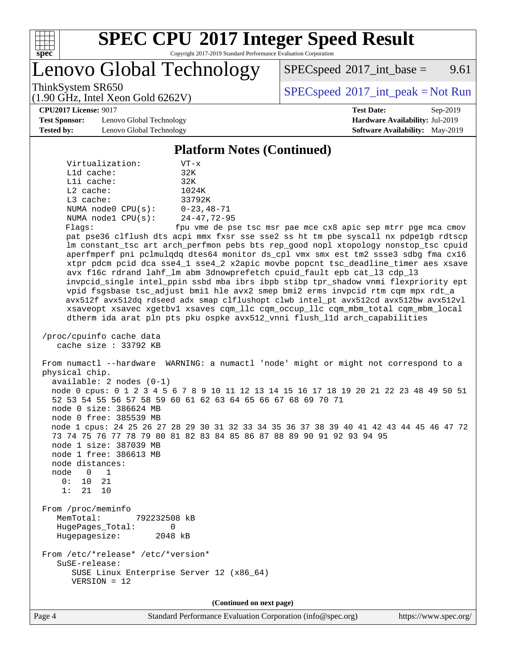

# **[SPEC CPU](http://www.spec.org/auto/cpu2017/Docs/result-fields.html#SPECCPU2017IntegerSpeedResult)[2017 Integer Speed Result](http://www.spec.org/auto/cpu2017/Docs/result-fields.html#SPECCPU2017IntegerSpeedResult)**

Copyright 2017-2019 Standard Performance Evaluation Corporation

Lenovo Global Technology

 $SPEC speed^{\circ}2017\_int\_base =$  9.61

ThinkSystem SR650<br>  $\begin{array}{c}\n\text{SPEC speed} \textdegree 2017\_int\_peak = Not Run\n\end{array}$ 

**[CPU2017 License:](http://www.spec.org/auto/cpu2017/Docs/result-fields.html#CPU2017License)** 9017 **[Test Date:](http://www.spec.org/auto/cpu2017/Docs/result-fields.html#TestDate)** Sep-2019

**[Test Sponsor:](http://www.spec.org/auto/cpu2017/Docs/result-fields.html#TestSponsor)** Lenovo Global Technology **[Hardware Availability:](http://www.spec.org/auto/cpu2017/Docs/result-fields.html#HardwareAvailability)** Jul-2019 **[Tested by:](http://www.spec.org/auto/cpu2017/Docs/result-fields.html#Testedby)** Lenovo Global Technology **[Software Availability:](http://www.spec.org/auto/cpu2017/Docs/result-fields.html#SoftwareAvailability)** May-2019

(1.90 GHz, Intel Xeon Gold 6262V)

#### **[Platform Notes \(Continued\)](http://www.spec.org/auto/cpu2017/Docs/result-fields.html#PlatformNotes)**

| Virtualization:    | $VT - x$          |
|--------------------|-------------------|
| $L1d$ cache:       | 32K               |
| Lli cache:         | 32K               |
| $L2$ cache:        | 1024K             |
| $L3$ cache:        | 33792K            |
| NUMA node0 CPU(s): | $0 - 23, 48 - 71$ |
| NUMA nodel CPU(s): | $24 - 47.72 - 95$ |
| Flags:             | fpu vme de pse    |

e de pse tsc msr pae mce cx8 apic sep mtrr pge mca cmov pat pse36 clflush dts acpi mmx fxsr sse sse2 ss ht tm pbe syscall nx pdpe1gb rdtscp lm constant\_tsc art arch\_perfmon pebs bts rep\_good nopl xtopology nonstop\_tsc cpuid aperfmperf pni pclmulqdq dtes64 monitor ds\_cpl vmx smx est tm2 ssse3 sdbg fma cx16 xtpr pdcm pcid dca sse4\_1 sse4\_2 x2apic movbe popcnt tsc\_deadline\_timer aes xsave avx f16c rdrand lahf\_lm abm 3dnowprefetch cpuid\_fault epb cat\_l3 cdp\_l3 invpcid\_single intel\_ppin ssbd mba ibrs ibpb stibp tpr\_shadow vnmi flexpriority ept vpid fsgsbase tsc\_adjust bmi1 hle avx2 smep bmi2 erms invpcid rtm cqm mpx rdt\_a avx512f avx512dq rdseed adx smap clflushopt clwb intel\_pt avx512cd avx512bw avx512vl xsaveopt xsavec xgetbv1 xsaves cqm\_llc cqm\_occup\_llc cqm\_mbm\_total cqm\_mbm\_local dtherm ida arat pln pts pku ospke avx512\_vnni flush\_l1d arch\_capabilities

 /proc/cpuinfo cache data cache size : 33792 KB

VERSION = 12

 From numactl --hardware WARNING: a numactl 'node' might or might not correspond to a physical chip. available: 2 nodes (0-1) node 0 cpus: 0 1 2 3 4 5 6 7 8 9 10 11 12 13 14 15 16 17 18 19 20 21 22 23 48 49 50 51 52 53 54 55 56 57 58 59 60 61 62 63 64 65 66 67 68 69 70 71 node 0 size: 386624 MB node 0 free: 385539 MB node 1 cpus: 24 25 26 27 28 29 30 31 32 33 34 35 36 37 38 39 40 41 42 43 44 45 46 47 72 73 74 75 76 77 78 79 80 81 82 83 84 85 86 87 88 89 90 91 92 93 94 95 node 1 size: 387039 MB node 1 free: 386613 MB node distances: node 0 1 0: 10 21 1: 21 10 From /proc/meminfo MemTotal: 792232508 kB HugePages\_Total: 0 Hugepagesize: 2048 kB From /etc/\*release\* /etc/\*version\* SuSE-release: SUSE Linux Enterprise Server 12 (x86\_64)

**(Continued on next page)**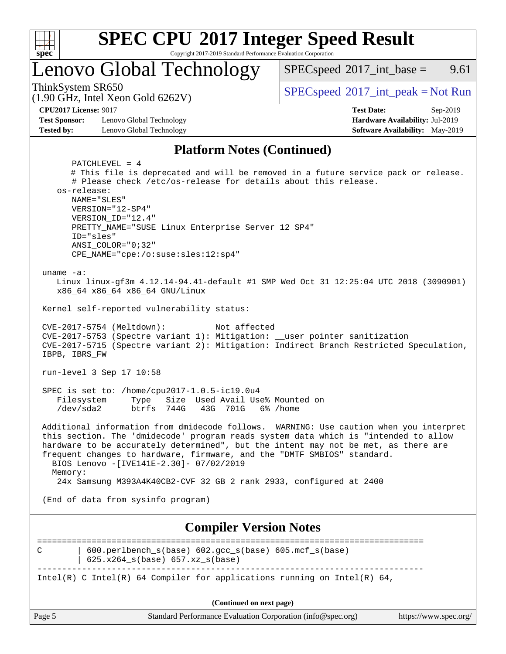

# **[SPEC CPU](http://www.spec.org/auto/cpu2017/Docs/result-fields.html#SPECCPU2017IntegerSpeedResult)[2017 Integer Speed Result](http://www.spec.org/auto/cpu2017/Docs/result-fields.html#SPECCPU2017IntegerSpeedResult)**

Copyright 2017-2019 Standard Performance Evaluation Corporation

Lenovo Global Technology

 $SPECspeed^{\circ}2017\_int\_base =$  $SPECspeed^{\circ}2017\_int\_base =$  9.61

(1.90 GHz, Intel Xeon Gold 6262V)

ThinkSystem SR650<br>(1.00 GHz, Intel Year Gald 6262V) [SPECspeed](http://www.spec.org/auto/cpu2017/Docs/result-fields.html#SPECspeed2017intpeak)<sup>®</sup>[2017\\_int\\_peak = N](http://www.spec.org/auto/cpu2017/Docs/result-fields.html#SPECspeed2017intpeak)ot Run

**[CPU2017 License:](http://www.spec.org/auto/cpu2017/Docs/result-fields.html#CPU2017License)** 9017 **[Test Date:](http://www.spec.org/auto/cpu2017/Docs/result-fields.html#TestDate)** Sep-2019

**[Test Sponsor:](http://www.spec.org/auto/cpu2017/Docs/result-fields.html#TestSponsor)** Lenovo Global Technology **[Hardware Availability:](http://www.spec.org/auto/cpu2017/Docs/result-fields.html#HardwareAvailability)** Jul-2019 **[Tested by:](http://www.spec.org/auto/cpu2017/Docs/result-fields.html#Testedby)** Lenovo Global Technology **[Software Availability:](http://www.spec.org/auto/cpu2017/Docs/result-fields.html#SoftwareAvailability)** May-2019

#### **[Platform Notes \(Continued\)](http://www.spec.org/auto/cpu2017/Docs/result-fields.html#PlatformNotes)**

| PATCHLEVEL = $4$<br># This file is deprecated and will be removed in a future service pack or release.                                                                                                                                                              |  |  |  |  |  |
|---------------------------------------------------------------------------------------------------------------------------------------------------------------------------------------------------------------------------------------------------------------------|--|--|--|--|--|
| # Please check /etc/os-release for details about this release.                                                                                                                                                                                                      |  |  |  |  |  |
| os-release:<br>NAME="SLES"                                                                                                                                                                                                                                          |  |  |  |  |  |
| VERSION="12-SP4"                                                                                                                                                                                                                                                    |  |  |  |  |  |
| VERSION_ID="12.4"                                                                                                                                                                                                                                                   |  |  |  |  |  |
| PRETTY_NAME="SUSE Linux Enterprise Server 12 SP4"<br>ID="sles"                                                                                                                                                                                                      |  |  |  |  |  |
| $ANSI$ _COLOR=" $0:32$ "                                                                                                                                                                                                                                            |  |  |  |  |  |
| CPE_NAME="cpe:/o:suse:sles:12:sp4"                                                                                                                                                                                                                                  |  |  |  |  |  |
| uname $-a$ :                                                                                                                                                                                                                                                        |  |  |  |  |  |
| Linux linux-gf3m 4.12.14-94.41-default #1 SMP Wed Oct 31 12:25:04 UTC 2018 (3090901)<br>x86_64 x86_64 x86_64 GNU/Linux                                                                                                                                              |  |  |  |  |  |
| Kernel self-reported vulnerability status:                                                                                                                                                                                                                          |  |  |  |  |  |
| CVE-2017-5754 (Meltdown):<br>Not affected                                                                                                                                                                                                                           |  |  |  |  |  |
| CVE-2017-5753 (Spectre variant 1): Mitigation: __user pointer sanitization                                                                                                                                                                                          |  |  |  |  |  |
| CVE-2017-5715 (Spectre variant 2): Mitigation: Indirect Branch Restricted Speculation,<br>IBPB, IBRS_FW                                                                                                                                                             |  |  |  |  |  |
| run-level 3 Sep 17 10:58                                                                                                                                                                                                                                            |  |  |  |  |  |
| SPEC is set to: /home/cpu2017-1.0.5-ic19.0u4                                                                                                                                                                                                                        |  |  |  |  |  |
| Filesystem<br>Type Size Used Avail Use% Mounted on<br>/dev/sda2<br>btrfs 744G 43G 701G 6% / home                                                                                                                                                                    |  |  |  |  |  |
|                                                                                                                                                                                                                                                                     |  |  |  |  |  |
| Additional information from dmidecode follows. WARNING: Use caution when you interpret<br>this section. The 'dmidecode' program reads system data which is "intended to allow<br>hardware to be accurately determined", but the intent may not be met, as there are |  |  |  |  |  |
| frequent changes to hardware, firmware, and the "DMTF SMBIOS" standard.<br>BIOS Lenovo -[IVE141E-2.30]- 07/02/2019                                                                                                                                                  |  |  |  |  |  |
| Memory:                                                                                                                                                                                                                                                             |  |  |  |  |  |
| 24x Samsung M393A4K40CB2-CVF 32 GB 2 rank 2933, configured at 2400                                                                                                                                                                                                  |  |  |  |  |  |
| (End of data from sysinfo program)                                                                                                                                                                                                                                  |  |  |  |  |  |
| <b>Compiler Version Notes</b>                                                                                                                                                                                                                                       |  |  |  |  |  |
| 600.perlbench_s(base) 602.gcc_s(base) 605.mcf_s(base)<br>С                                                                                                                                                                                                          |  |  |  |  |  |
| 625.x264_s(base) 657.xz_s(base)                                                                                                                                                                                                                                     |  |  |  |  |  |
| Intel(R) C Intel(R) 64 Compiler for applications running on Intel(R) 64,                                                                                                                                                                                            |  |  |  |  |  |
| (Continued on next page)                                                                                                                                                                                                                                            |  |  |  |  |  |
| Page 5<br>Standard Performance Evaluation Corporation (info@spec.org)<br>https://www.spec.org/                                                                                                                                                                      |  |  |  |  |  |
|                                                                                                                                                                                                                                                                     |  |  |  |  |  |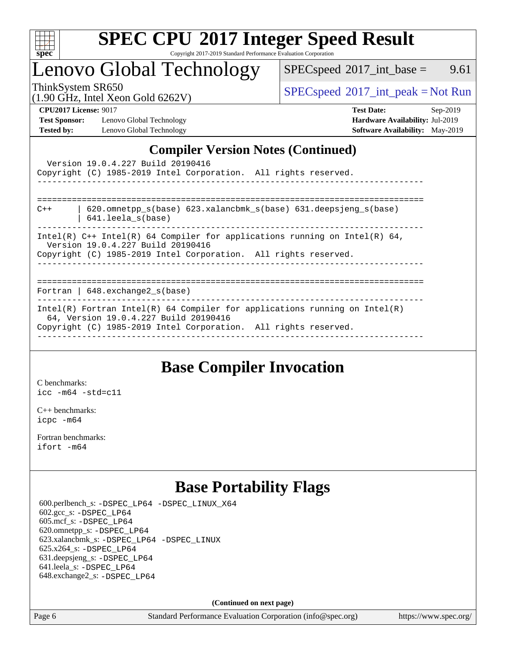

# **[SPEC CPU](http://www.spec.org/auto/cpu2017/Docs/result-fields.html#SPECCPU2017IntegerSpeedResult)[2017 Integer Speed Result](http://www.spec.org/auto/cpu2017/Docs/result-fields.html#SPECCPU2017IntegerSpeedResult)**

Copyright 2017-2019 Standard Performance Evaluation Corporation

## Lenovo Global Technology

 $SPEC speed^{\circ}2017\_int\_base =$  9.61

(1.90 GHz, Intel Xeon Gold 6262V)

ThinkSystem SR650<br>(1.00 GHz, Intel Year Gold 6262V) [SPECspeed](http://www.spec.org/auto/cpu2017/Docs/result-fields.html#SPECspeed2017intpeak)<sup>®</sup>[2017\\_int\\_peak = N](http://www.spec.org/auto/cpu2017/Docs/result-fields.html#SPECspeed2017intpeak)ot Run

**[Test Sponsor:](http://www.spec.org/auto/cpu2017/Docs/result-fields.html#TestSponsor)** Lenovo Global Technology **[Hardware Availability:](http://www.spec.org/auto/cpu2017/Docs/result-fields.html#HardwareAvailability)** Jul-2019 **[Tested by:](http://www.spec.org/auto/cpu2017/Docs/result-fields.html#Testedby)** Lenovo Global Technology **[Software Availability:](http://www.spec.org/auto/cpu2017/Docs/result-fields.html#SoftwareAvailability)** May-2019

**[CPU2017 License:](http://www.spec.org/auto/cpu2017/Docs/result-fields.html#CPU2017License)** 9017 **[Test Date:](http://www.spec.org/auto/cpu2017/Docs/result-fields.html#TestDate)** Sep-2019

## **[Compiler Version Notes \(Continued\)](http://www.spec.org/auto/cpu2017/Docs/result-fields.html#CompilerVersionNotes)**

| Version 19.0.4.227 Build 20190416<br>Copyright (C) 1985-2019 Intel Corporation. All rights reserved.<br>________________________________                                               |
|----------------------------------------------------------------------------------------------------------------------------------------------------------------------------------------|
| -----------------------------------<br>$620$ .omnetpp $s(base)$ $623$ .xalancbmk $s(base)$ $631$ .deepsjeng $s(base)$<br>$C++$<br>$641.$ leela $s(base)$                               |
| Intel(R) $C++$ Intel(R) 64 Compiler for applications running on Intel(R) 64,<br>Version 19.0.4.227 Build 20190416<br>Copyright (C) 1985-2019 Intel Corporation. All rights reserved.   |
| Fortran   $648$ . exchange2 $s$ (base)                                                                                                                                                 |
| Intel(R) Fortran Intel(R) 64 Compiler for applications running on Intel(R)<br>64, Version 19.0.4.227 Build 20190416<br>Copyright (C) 1985-2019 Intel Corporation. All rights reserved. |

## **[Base Compiler Invocation](http://www.spec.org/auto/cpu2017/Docs/result-fields.html#BaseCompilerInvocation)**

[C benchmarks](http://www.spec.org/auto/cpu2017/Docs/result-fields.html#Cbenchmarks): [icc -m64 -std=c11](http://www.spec.org/cpu2017/results/res2019q4/cpu2017-20190926-18698.flags.html#user_CCbase_intel_icc_64bit_c11_33ee0cdaae7deeeab2a9725423ba97205ce30f63b9926c2519791662299b76a0318f32ddfffdc46587804de3178b4f9328c46fa7c2b0cd779d7a61945c91cd35)

[C++ benchmarks:](http://www.spec.org/auto/cpu2017/Docs/result-fields.html#CXXbenchmarks) [icpc -m64](http://www.spec.org/cpu2017/results/res2019q4/cpu2017-20190926-18698.flags.html#user_CXXbase_intel_icpc_64bit_4ecb2543ae3f1412ef961e0650ca070fec7b7afdcd6ed48761b84423119d1bf6bdf5cad15b44d48e7256388bc77273b966e5eb805aefd121eb22e9299b2ec9d9)

[Fortran benchmarks](http://www.spec.org/auto/cpu2017/Docs/result-fields.html#Fortranbenchmarks): [ifort -m64](http://www.spec.org/cpu2017/results/res2019q4/cpu2017-20190926-18698.flags.html#user_FCbase_intel_ifort_64bit_24f2bb282fbaeffd6157abe4f878425411749daecae9a33200eee2bee2fe76f3b89351d69a8130dd5949958ce389cf37ff59a95e7a40d588e8d3a57e0c3fd751)

## **[Base Portability Flags](http://www.spec.org/auto/cpu2017/Docs/result-fields.html#BasePortabilityFlags)**

 600.perlbench\_s: [-DSPEC\\_LP64](http://www.spec.org/cpu2017/results/res2019q4/cpu2017-20190926-18698.flags.html#b600.perlbench_s_basePORTABILITY_DSPEC_LP64) [-DSPEC\\_LINUX\\_X64](http://www.spec.org/cpu2017/results/res2019q4/cpu2017-20190926-18698.flags.html#b600.perlbench_s_baseCPORTABILITY_DSPEC_LINUX_X64) 602.gcc\_s: [-DSPEC\\_LP64](http://www.spec.org/cpu2017/results/res2019q4/cpu2017-20190926-18698.flags.html#suite_basePORTABILITY602_gcc_s_DSPEC_LP64) 605.mcf\_s: [-DSPEC\\_LP64](http://www.spec.org/cpu2017/results/res2019q4/cpu2017-20190926-18698.flags.html#suite_basePORTABILITY605_mcf_s_DSPEC_LP64) 620.omnetpp\_s: [-DSPEC\\_LP64](http://www.spec.org/cpu2017/results/res2019q4/cpu2017-20190926-18698.flags.html#suite_basePORTABILITY620_omnetpp_s_DSPEC_LP64) 623.xalancbmk\_s: [-DSPEC\\_LP64](http://www.spec.org/cpu2017/results/res2019q4/cpu2017-20190926-18698.flags.html#suite_basePORTABILITY623_xalancbmk_s_DSPEC_LP64) [-DSPEC\\_LINUX](http://www.spec.org/cpu2017/results/res2019q4/cpu2017-20190926-18698.flags.html#b623.xalancbmk_s_baseCXXPORTABILITY_DSPEC_LINUX) 625.x264\_s: [-DSPEC\\_LP64](http://www.spec.org/cpu2017/results/res2019q4/cpu2017-20190926-18698.flags.html#suite_basePORTABILITY625_x264_s_DSPEC_LP64) 631.deepsjeng\_s: [-DSPEC\\_LP64](http://www.spec.org/cpu2017/results/res2019q4/cpu2017-20190926-18698.flags.html#suite_basePORTABILITY631_deepsjeng_s_DSPEC_LP64) 641.leela\_s: [-DSPEC\\_LP64](http://www.spec.org/cpu2017/results/res2019q4/cpu2017-20190926-18698.flags.html#suite_basePORTABILITY641_leela_s_DSPEC_LP64) 648.exchange2\_s: [-DSPEC\\_LP64](http://www.spec.org/cpu2017/results/res2019q4/cpu2017-20190926-18698.flags.html#suite_basePORTABILITY648_exchange2_s_DSPEC_LP64)

**(Continued on next page)**

Page 6 Standard Performance Evaluation Corporation [\(info@spec.org\)](mailto:info@spec.org) <https://www.spec.org/>